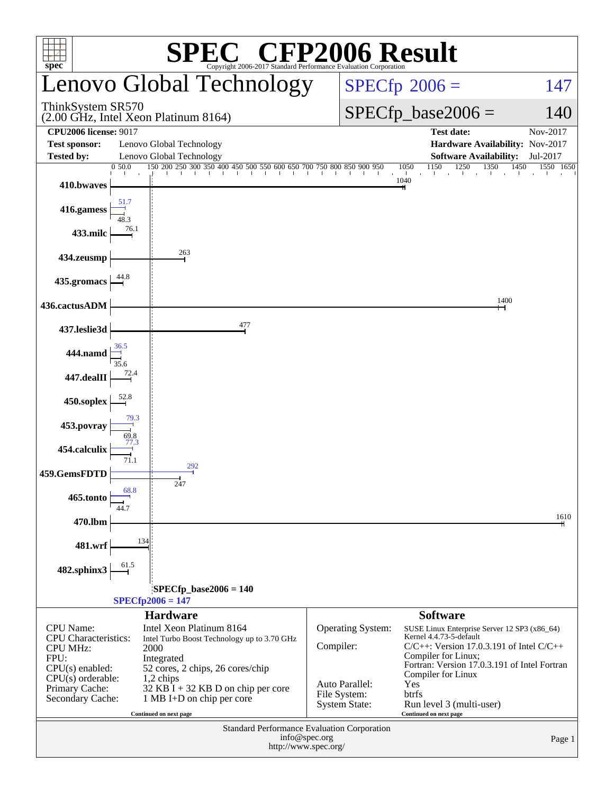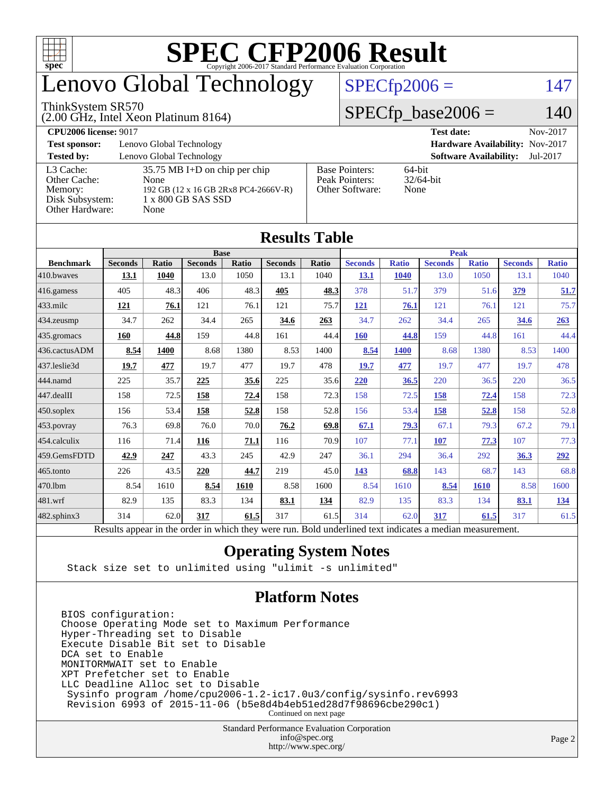

## enovo Global Technology

#### ThinkSystem SR570

(2.00 GHz, Intel Xeon Platinum 8164)

 $SPECfp2006 = 147$  $SPECfp2006 = 147$ 

#### $SPECfp\_base2006 = 140$

| <b>CPU2006 license: 9017</b> |                                      |                                 | <b>Test date:</b><br>Nov-2017             |  |  |  |
|------------------------------|--------------------------------------|---------------------------------|-------------------------------------------|--|--|--|
| <b>Test sponsor:</b>         | Lenovo Global Technology             | Hardware Availability: Nov-2017 |                                           |  |  |  |
| <b>Tested by:</b>            | Lenovo Global Technology             |                                 | <b>Software Availability:</b><br>Jul-2017 |  |  |  |
| L3 Cache:                    | $35.75$ MB I+D on chip per chip      | <b>Base Pointers:</b>           | $64$ -bit                                 |  |  |  |
| Other Cache:                 | None                                 | Peak Pointers:                  | $32/64$ -bit                              |  |  |  |
| Memory:                      | 192 GB (12 x 16 GB 2Rx8 PC4-2666V-R) | Other Software:                 | None                                      |  |  |  |
| Disk Subsystem:              | 1 x 800 GB SAS SSD                   |                                 |                                           |  |  |  |
| Other Hardware:              | None                                 |                                 |                                           |  |  |  |

**[Results Table](http://www.spec.org/auto/cpu2006/Docs/result-fields.html#ResultsTable)**

| Results Tadie          |                                                                                                          |              |                |       |                |       |                |              |                |              |                |              |
|------------------------|----------------------------------------------------------------------------------------------------------|--------------|----------------|-------|----------------|-------|----------------|--------------|----------------|--------------|----------------|--------------|
|                        | <b>Base</b>                                                                                              |              |                |       |                |       | <b>Peak</b>    |              |                |              |                |              |
| <b>Benchmark</b>       | <b>Seconds</b>                                                                                           | <b>Ratio</b> | <b>Seconds</b> | Ratio | <b>Seconds</b> | Ratio | <b>Seconds</b> | <b>Ratio</b> | <b>Seconds</b> | <b>Ratio</b> | <b>Seconds</b> | <b>Ratio</b> |
| 410.bwaves             | 13.1                                                                                                     | 1040         | 13.0           | 1050  | 13.1           | 1040  | <b>13.1</b>    | 1040         | 13.0           | 1050         | 13.1           | 1040         |
| $ 416$ .gamess         | 405                                                                                                      | 48.3         | 406            | 48.3  | 405            | 48.3  | 378            | 51.7         | 379            | 51.6         | 379            | 51.7         |
| $433$ .milc            | 121                                                                                                      | 76.1         | 121            | 76.1  | 121            | 75.7  | 121            | 76.1         | 121            | 76.1         | 121            | 75.7         |
| 434.zeusmp             | 34.7                                                                                                     | 262          | 34.4           | 265   | 34.6           | 263   | 34.7           | 262          | 34.4           | 265          | <u>34.6</u>    | 263          |
| 435.gromacs            | 160                                                                                                      | 44.8         | 159            | 44.8  | 161            | 44.4  | 160            | 44.8         | 159            | 44.8         | 161            | 44.4         |
| 436.cactusADM          | 8.54                                                                                                     | 1400         | 8.68           | 1380  | 8.53           | 1400  | 8.54           | <b>1400</b>  | 8.68           | 1380         | 8.53           | 1400         |
| 437.leslie3d           | 19.7                                                                                                     | 477          | 19.7           | 477   | 19.7           | 478   | 19.7           | 477          | 19.7           | 477          | 19.7           | 478          |
| 444.namd               | 225                                                                                                      | 35.7         | 225            | 35.6  | 225            | 35.6  | 220            | 36.5         | 220            | 36.5         | 220            | 36.5         |
| $ 447 \text{.}$ dealII | 158                                                                                                      | 72.5         | 158            | 72.4  | 158            | 72.3  | 158            | 72.5         | 158            | 72.4         | 158            | 72.3         |
| $450$ .soplex          | 156                                                                                                      | 53.4         | 158            | 52.8  | 158            | 52.8  | 156            | 53.4         | 158            | 52.8         | 158            | 52.8         |
| $453$ .povray          | 76.3                                                                                                     | 69.8         | 76.0           | 70.0  | 76.2           | 69.8  | 67.1           | 79.3         | 67.1           | 79.3         | 67.2           | 79.1         |
| $ 454$ .calculix       | 116                                                                                                      | 71.4         | 116            | 71.1  | 116            | 70.9  | 107            | 77.1         | 107            | 77.3         | 107            | 77.3         |
| 459.GemsFDTD           | 42.9                                                                                                     | 247          | 43.3           | 245   | 42.9           | 247   | 36.1           | 294          | 36.4           | 292          | 36.3           | 292          |
| $465$ .tonto           | 226                                                                                                      | 43.5         | 220            | 44.7  | 219            | 45.0  | 143            | 68.8         | 143            | 68.7         | 143            | 68.8         |
| 470.1bm                | 8.54                                                                                                     | 1610         | 8.54           | 1610  | 8.58           | 1600  | 8.54           | 1610         | 8.54           | <b>1610</b>  | 8.58           | 1600         |
| $ 481$ .wrf            | 82.9                                                                                                     | 135          | 83.3           | 134   | 83.1           | 134   | 82.9           | 135          | 83.3           | 134          | 83.1           | 134          |
| $482$ .sphinx $3$      | 314                                                                                                      | 62.0         | 317            | 61.5  | 317            | 61.5  | 314            | 62.0         | 317            | 61.5         | 317            | 61.5         |
|                        | Results appear in the order in which they were run. Bold underlined text indicates a median measurement. |              |                |       |                |       |                |              |                |              |                |              |

#### **[Operating System Notes](http://www.spec.org/auto/cpu2006/Docs/result-fields.html#OperatingSystemNotes)**

Stack size set to unlimited using "ulimit -s unlimited"

#### **[Platform Notes](http://www.spec.org/auto/cpu2006/Docs/result-fields.html#PlatformNotes)**

BIOS configuration: Choose Operating Mode set to Maximum Performance Hyper-Threading set to Disable Execute Disable Bit set to Disable DCA set to Enable MONITORMWAIT set to Enable XPT Prefetcher set to Enable LLC Deadline Alloc set to Disable Sysinfo program /home/cpu2006-1.2-ic17.0u3/config/sysinfo.rev6993 Revision 6993 of 2015-11-06 (b5e8d4b4eb51ed28d7f98696cbe290c1) Continued on next page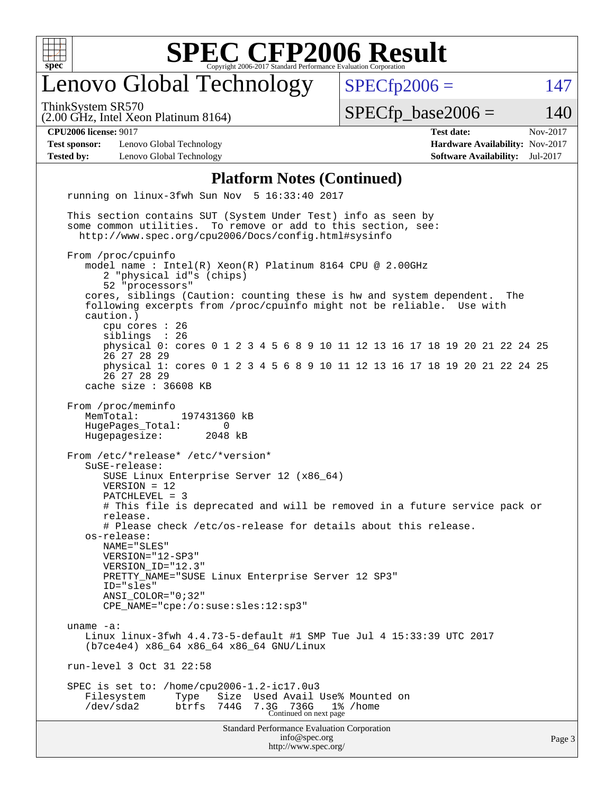

### enovo Global Technology

ThinkSystem SR570

 $SPECTp2006 = 147$ 

(2.00 GHz, Intel Xeon Platinum 8164)

 $SPECTp\_base2006 = 140$ 

**[Test sponsor:](http://www.spec.org/auto/cpu2006/Docs/result-fields.html#Testsponsor)** Lenovo Global Technology **[Hardware Availability:](http://www.spec.org/auto/cpu2006/Docs/result-fields.html#HardwareAvailability)** Nov-2017 **[Tested by:](http://www.spec.org/auto/cpu2006/Docs/result-fields.html#Testedby)** Lenovo Global Technology **[Software Availability:](http://www.spec.org/auto/cpu2006/Docs/result-fields.html#SoftwareAvailability)** Jul-2017

**[CPU2006 license:](http://www.spec.org/auto/cpu2006/Docs/result-fields.html#CPU2006license)** 9017 **[Test date:](http://www.spec.org/auto/cpu2006/Docs/result-fields.html#Testdate)** Nov-2017

#### **[Platform Notes \(Continued\)](http://www.spec.org/auto/cpu2006/Docs/result-fields.html#PlatformNotes)**

Standard Performance Evaluation Corporation [info@spec.org](mailto:info@spec.org) <http://www.spec.org/> running on linux-3fwh Sun Nov 5 16:33:40 2017 This section contains SUT (System Under Test) info as seen by some common utilities. To remove or add to this section, see: <http://www.spec.org/cpu2006/Docs/config.html#sysinfo> From /proc/cpuinfo model name : Intel(R) Xeon(R) Platinum 8164 CPU @ 2.00GHz 2 "physical id"s (chips) 52 "processors" cores, siblings (Caution: counting these is hw and system dependent. The following excerpts from /proc/cpuinfo might not be reliable. Use with caution.) cpu cores : 26 siblings physical 0: cores 0 1 2 3 4 5 6 8 9 10 11 12 13 16 17 18 19 20 21 22 24 25 26 27 28 29 physical 1: cores 0 1 2 3 4 5 6 8 9 10 11 12 13 16 17 18 19 20 21 22 24 25 26 27 28 29 cache size : 36608 KB From /proc/meminfo MemTotal: 197431360 kB HugePages\_Total: 0 Hugepagesize: 2048 kB From /etc/\*release\* /etc/\*version\* SuSE-release: SUSE Linux Enterprise Server 12 (x86\_64) VERSION = 12 PATCHLEVEL = 3 # This file is deprecated and will be removed in a future service pack or release. # Please check /etc/os-release for details about this release. os-release: NAME="SLES" VERSION="12-SP3" VERSION\_ID="12.3" PRETTY\_NAME="SUSE Linux Enterprise Server 12 SP3" ID="sles" ANSI\_COLOR="0;32" CPE\_NAME="cpe:/o:suse:sles:12:sp3" uname -a: Linux linux-3fwh 4.4.73-5-default #1 SMP Tue Jul 4 15:33:39 UTC 2017 (b7ce4e4) x86\_64 x86\_64 x86\_64 GNU/Linux run-level 3 Oct 31 22:58 SPEC is set to: /home/cpu2006-1.2-ic17.0u3 Filesystem Type Size Used Avail Use% Mounted on /dev/sda2 btrfs 744G 7.3G 736G 1% /home Continued on next page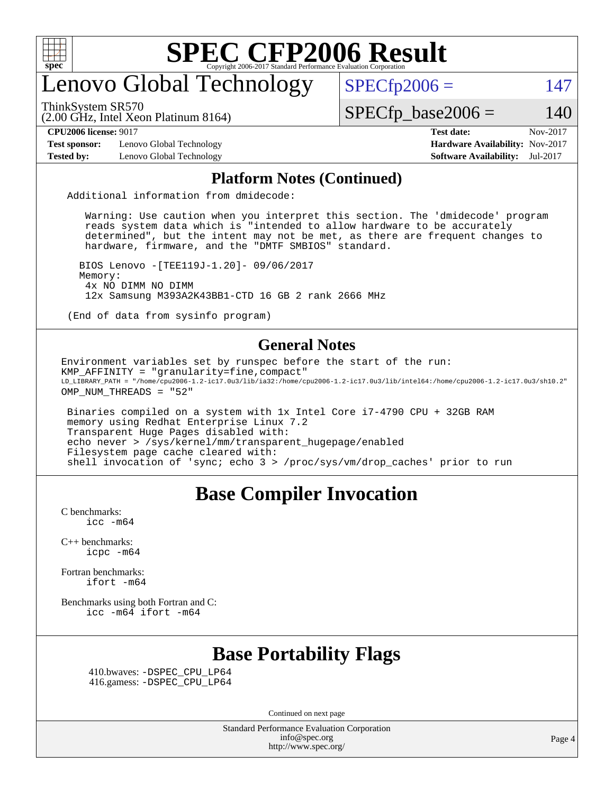

### enovo Global Technology

ThinkSystem SR570

 $SPECfp2006 = 147$  $SPECfp2006 = 147$ 

(2.00 GHz, Intel Xeon Platinum 8164)

 $SPECTp\_base2006 = 140$ 

**[Test sponsor:](http://www.spec.org/auto/cpu2006/Docs/result-fields.html#Testsponsor)** Lenovo Global Technology **[Hardware Availability:](http://www.spec.org/auto/cpu2006/Docs/result-fields.html#HardwareAvailability)** Nov-2017 **[Tested by:](http://www.spec.org/auto/cpu2006/Docs/result-fields.html#Testedby)** Lenovo Global Technology **[Software Availability:](http://www.spec.org/auto/cpu2006/Docs/result-fields.html#SoftwareAvailability)** Jul-2017

**[CPU2006 license:](http://www.spec.org/auto/cpu2006/Docs/result-fields.html#CPU2006license)** 9017 **[Test date:](http://www.spec.org/auto/cpu2006/Docs/result-fields.html#Testdate)** Nov-2017

#### **[Platform Notes \(Continued\)](http://www.spec.org/auto/cpu2006/Docs/result-fields.html#PlatformNotes)**

Additional information from dmidecode:

 Warning: Use caution when you interpret this section. The 'dmidecode' program reads system data which is "intended to allow hardware to be accurately determined", but the intent may not be met, as there are frequent changes to hardware, firmware, and the "DMTF SMBIOS" standard.

 BIOS Lenovo -[TEE119J-1.20]- 09/06/2017 Memory: 4x NO DIMM NO DIMM 12x Samsung M393A2K43BB1-CTD 16 GB 2 rank 2666 MHz

(End of data from sysinfo program)

#### **[General Notes](http://www.spec.org/auto/cpu2006/Docs/result-fields.html#GeneralNotes)**

Environment variables set by runspec before the start of the run: KMP\_AFFINITY = "granularity=fine,compact" LD\_LIBRARY\_PATH = "/home/cpu2006-1.2-ic17.0u3/lib/ia32:/home/cpu2006-1.2-ic17.0u3/lib/intel64:/home/cpu2006-1.2-ic17.0u3/sh10.2" OMP NUM THREADS = "52"

 Binaries compiled on a system with 1x Intel Core i7-4790 CPU + 32GB RAM memory using Redhat Enterprise Linux 7.2 Transparent Huge Pages disabled with: echo never > /sys/kernel/mm/transparent\_hugepage/enabled Filesystem page cache cleared with: shell invocation of 'sync; echo 3 > /proc/sys/vm/drop\_caches' prior to run

#### **[Base Compiler Invocation](http://www.spec.org/auto/cpu2006/Docs/result-fields.html#BaseCompilerInvocation)**

[C benchmarks](http://www.spec.org/auto/cpu2006/Docs/result-fields.html#Cbenchmarks):  $\text{icc}$   $-\text{m64}$ 

[C++ benchmarks:](http://www.spec.org/auto/cpu2006/Docs/result-fields.html#CXXbenchmarks) [icpc -m64](http://www.spec.org/cpu2006/results/res2017q4/cpu2006-20171114-50583.flags.html#user_CXXbase_intel_icpc_64bit_fc66a5337ce925472a5c54ad6a0de310)

[Fortran benchmarks](http://www.spec.org/auto/cpu2006/Docs/result-fields.html#Fortranbenchmarks): [ifort -m64](http://www.spec.org/cpu2006/results/res2017q4/cpu2006-20171114-50583.flags.html#user_FCbase_intel_ifort_64bit_ee9d0fb25645d0210d97eb0527dcc06e)

[Benchmarks using both Fortran and C](http://www.spec.org/auto/cpu2006/Docs/result-fields.html#BenchmarksusingbothFortranandC): [icc -m64](http://www.spec.org/cpu2006/results/res2017q4/cpu2006-20171114-50583.flags.html#user_CC_FCbase_intel_icc_64bit_bda6cc9af1fdbb0edc3795bac97ada53) [ifort -m64](http://www.spec.org/cpu2006/results/res2017q4/cpu2006-20171114-50583.flags.html#user_CC_FCbase_intel_ifort_64bit_ee9d0fb25645d0210d97eb0527dcc06e)

#### **[Base Portability Flags](http://www.spec.org/auto/cpu2006/Docs/result-fields.html#BasePortabilityFlags)**

 410.bwaves: [-DSPEC\\_CPU\\_LP64](http://www.spec.org/cpu2006/results/res2017q4/cpu2006-20171114-50583.flags.html#suite_basePORTABILITY410_bwaves_DSPEC_CPU_LP64) 416.gamess: [-DSPEC\\_CPU\\_LP64](http://www.spec.org/cpu2006/results/res2017q4/cpu2006-20171114-50583.flags.html#suite_basePORTABILITY416_gamess_DSPEC_CPU_LP64)

Continued on next page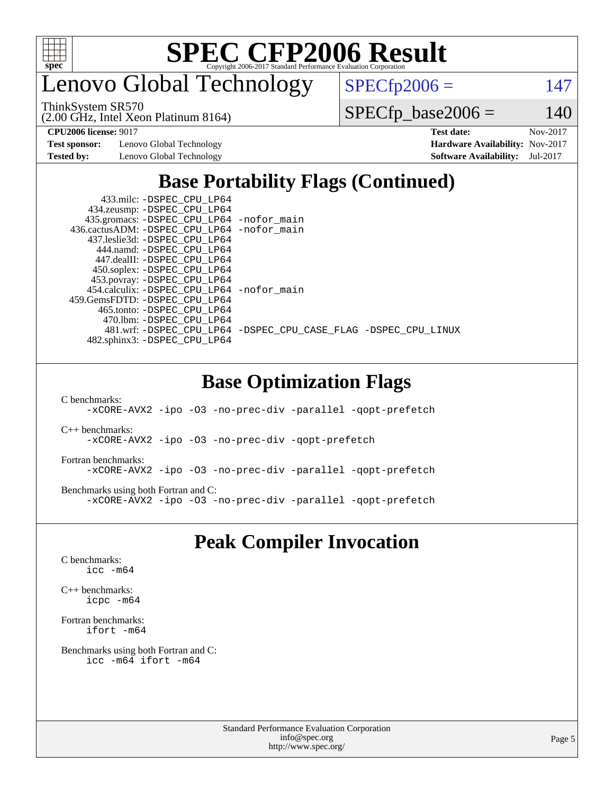

enovo Global Technology

ThinkSystem SR570

 $SPECfp2006 = 147$  $SPECfp2006 = 147$ 

(2.00 GHz, Intel Xeon Platinum 8164)

 $SPECfp\_base2006 = 140$ 

**[Test sponsor:](http://www.spec.org/auto/cpu2006/Docs/result-fields.html#Testsponsor)** Lenovo Global Technology **[Hardware Availability:](http://www.spec.org/auto/cpu2006/Docs/result-fields.html#HardwareAvailability)** Nov-2017 **[Tested by:](http://www.spec.org/auto/cpu2006/Docs/result-fields.html#Testedby)** Lenovo Global Technology **[Software Availability:](http://www.spec.org/auto/cpu2006/Docs/result-fields.html#SoftwareAvailability)** Jul-2017

**[CPU2006 license:](http://www.spec.org/auto/cpu2006/Docs/result-fields.html#CPU2006license)** 9017 **[Test date:](http://www.spec.org/auto/cpu2006/Docs/result-fields.html#Testdate)** Nov-2017

### **[Base Portability Flags \(Continued\)](http://www.spec.org/auto/cpu2006/Docs/result-fields.html#BasePortabilityFlags)**

| 433.milc: -DSPEC CPU LP64                    |                                                                |
|----------------------------------------------|----------------------------------------------------------------|
| 434.zeusmp: -DSPEC_CPU_LP64                  |                                                                |
| 435.gromacs: -DSPEC_CPU_LP64 -nofor_main     |                                                                |
| 436.cactusADM: - DSPEC CPU LP64 - nofor main |                                                                |
| 437.leslie3d: -DSPEC CPU LP64                |                                                                |
| 444.namd: -DSPEC CPU LP64                    |                                                                |
| 447.dealII: -DSPEC CPU LP64                  |                                                                |
| 450.soplex: -DSPEC_CPU_LP64                  |                                                                |
| 453.povray: -DSPEC_CPU_LP64                  |                                                                |
| 454.calculix: - DSPEC CPU LP64 - nofor main  |                                                                |
| 459. GemsFDTD: - DSPEC CPU LP64              |                                                                |
| 465.tonto: -DSPEC CPU LP64                   |                                                                |
| 470.1bm: - DSPEC CPU LP64                    |                                                                |
|                                              | 481.wrf: -DSPEC_CPU_LP64 -DSPEC_CPU_CASE_FLAG -DSPEC_CPU_LINUX |
| 482.sphinx3: -DSPEC CPU LP64                 |                                                                |

#### **[Base Optimization Flags](http://www.spec.org/auto/cpu2006/Docs/result-fields.html#BaseOptimizationFlags)**

[C benchmarks](http://www.spec.org/auto/cpu2006/Docs/result-fields.html#Cbenchmarks):

[-xCORE-AVX2](http://www.spec.org/cpu2006/results/res2017q4/cpu2006-20171114-50583.flags.html#user_CCbase_f-xCORE-AVX2) [-ipo](http://www.spec.org/cpu2006/results/res2017q4/cpu2006-20171114-50583.flags.html#user_CCbase_f-ipo) [-O3](http://www.spec.org/cpu2006/results/res2017q4/cpu2006-20171114-50583.flags.html#user_CCbase_f-O3) [-no-prec-div](http://www.spec.org/cpu2006/results/res2017q4/cpu2006-20171114-50583.flags.html#user_CCbase_f-no-prec-div) [-parallel](http://www.spec.org/cpu2006/results/res2017q4/cpu2006-20171114-50583.flags.html#user_CCbase_f-parallel) [-qopt-prefetch](http://www.spec.org/cpu2006/results/res2017q4/cpu2006-20171114-50583.flags.html#user_CCbase_f-qopt-prefetch)

[C++ benchmarks:](http://www.spec.org/auto/cpu2006/Docs/result-fields.html#CXXbenchmarks) [-xCORE-AVX2](http://www.spec.org/cpu2006/results/res2017q4/cpu2006-20171114-50583.flags.html#user_CXXbase_f-xCORE-AVX2) [-ipo](http://www.spec.org/cpu2006/results/res2017q4/cpu2006-20171114-50583.flags.html#user_CXXbase_f-ipo) [-O3](http://www.spec.org/cpu2006/results/res2017q4/cpu2006-20171114-50583.flags.html#user_CXXbase_f-O3) [-no-prec-div](http://www.spec.org/cpu2006/results/res2017q4/cpu2006-20171114-50583.flags.html#user_CXXbase_f-no-prec-div) [-qopt-prefetch](http://www.spec.org/cpu2006/results/res2017q4/cpu2006-20171114-50583.flags.html#user_CXXbase_f-qopt-prefetch)

[Fortran benchmarks](http://www.spec.org/auto/cpu2006/Docs/result-fields.html#Fortranbenchmarks): [-xCORE-AVX2](http://www.spec.org/cpu2006/results/res2017q4/cpu2006-20171114-50583.flags.html#user_FCbase_f-xCORE-AVX2) [-ipo](http://www.spec.org/cpu2006/results/res2017q4/cpu2006-20171114-50583.flags.html#user_FCbase_f-ipo) [-O3](http://www.spec.org/cpu2006/results/res2017q4/cpu2006-20171114-50583.flags.html#user_FCbase_f-O3) [-no-prec-div](http://www.spec.org/cpu2006/results/res2017q4/cpu2006-20171114-50583.flags.html#user_FCbase_f-no-prec-div) [-parallel](http://www.spec.org/cpu2006/results/res2017q4/cpu2006-20171114-50583.flags.html#user_FCbase_f-parallel) [-qopt-prefetch](http://www.spec.org/cpu2006/results/res2017q4/cpu2006-20171114-50583.flags.html#user_FCbase_f-qopt-prefetch)

[Benchmarks using both Fortran and C](http://www.spec.org/auto/cpu2006/Docs/result-fields.html#BenchmarksusingbothFortranandC): [-xCORE-AVX2](http://www.spec.org/cpu2006/results/res2017q4/cpu2006-20171114-50583.flags.html#user_CC_FCbase_f-xCORE-AVX2) [-ipo](http://www.spec.org/cpu2006/results/res2017q4/cpu2006-20171114-50583.flags.html#user_CC_FCbase_f-ipo) [-O3](http://www.spec.org/cpu2006/results/res2017q4/cpu2006-20171114-50583.flags.html#user_CC_FCbase_f-O3) [-no-prec-div](http://www.spec.org/cpu2006/results/res2017q4/cpu2006-20171114-50583.flags.html#user_CC_FCbase_f-no-prec-div) [-parallel](http://www.spec.org/cpu2006/results/res2017q4/cpu2006-20171114-50583.flags.html#user_CC_FCbase_f-parallel) [-qopt-prefetch](http://www.spec.org/cpu2006/results/res2017q4/cpu2006-20171114-50583.flags.html#user_CC_FCbase_f-qopt-prefetch)

#### **[Peak Compiler Invocation](http://www.spec.org/auto/cpu2006/Docs/result-fields.html#PeakCompilerInvocation)**

[C benchmarks](http://www.spec.org/auto/cpu2006/Docs/result-fields.html#Cbenchmarks): [icc -m64](http://www.spec.org/cpu2006/results/res2017q4/cpu2006-20171114-50583.flags.html#user_CCpeak_intel_icc_64bit_bda6cc9af1fdbb0edc3795bac97ada53)

[C++ benchmarks:](http://www.spec.org/auto/cpu2006/Docs/result-fields.html#CXXbenchmarks) [icpc -m64](http://www.spec.org/cpu2006/results/res2017q4/cpu2006-20171114-50583.flags.html#user_CXXpeak_intel_icpc_64bit_fc66a5337ce925472a5c54ad6a0de310)

[Fortran benchmarks](http://www.spec.org/auto/cpu2006/Docs/result-fields.html#Fortranbenchmarks): [ifort -m64](http://www.spec.org/cpu2006/results/res2017q4/cpu2006-20171114-50583.flags.html#user_FCpeak_intel_ifort_64bit_ee9d0fb25645d0210d97eb0527dcc06e)

[Benchmarks using both Fortran and C](http://www.spec.org/auto/cpu2006/Docs/result-fields.html#BenchmarksusingbothFortranandC): [icc -m64](http://www.spec.org/cpu2006/results/res2017q4/cpu2006-20171114-50583.flags.html#user_CC_FCpeak_intel_icc_64bit_bda6cc9af1fdbb0edc3795bac97ada53) [ifort -m64](http://www.spec.org/cpu2006/results/res2017q4/cpu2006-20171114-50583.flags.html#user_CC_FCpeak_intel_ifort_64bit_ee9d0fb25645d0210d97eb0527dcc06e)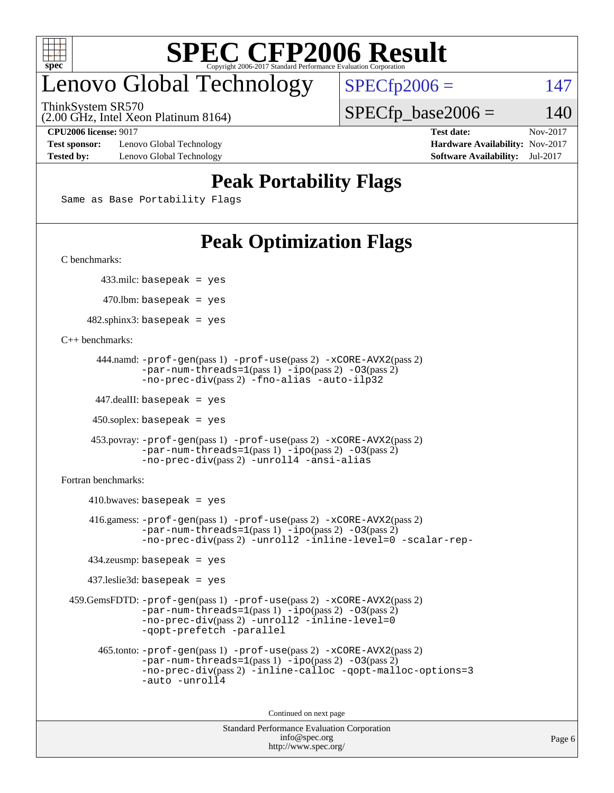

### enovo Global Technology

ThinkSystem SR570

 $SPECTp2006 = 147$ 

(2.00 GHz, Intel Xeon Platinum 8164)

#### **[CPU2006 license:](http://www.spec.org/auto/cpu2006/Docs/result-fields.html#CPU2006license)** 9017 **[Test date:](http://www.spec.org/auto/cpu2006/Docs/result-fields.html#Testdate)** Nov-2017

 $SPECTp\_base2006 = 140$ 

**[Test sponsor:](http://www.spec.org/auto/cpu2006/Docs/result-fields.html#Testsponsor)** Lenovo Global Technology **[Hardware Availability:](http://www.spec.org/auto/cpu2006/Docs/result-fields.html#HardwareAvailability)** Nov-2017 **[Tested by:](http://www.spec.org/auto/cpu2006/Docs/result-fields.html#Testedby)** Lenovo Global Technology **[Software Availability:](http://www.spec.org/auto/cpu2006/Docs/result-fields.html#SoftwareAvailability)** Jul-2017

#### **[Peak Portability Flags](http://www.spec.org/auto/cpu2006/Docs/result-fields.html#PeakPortabilityFlags)**

Same as Base Portability Flags

### **[Peak Optimization Flags](http://www.spec.org/auto/cpu2006/Docs/result-fields.html#PeakOptimizationFlags)**

[C benchmarks](http://www.spec.org/auto/cpu2006/Docs/result-fields.html#Cbenchmarks):

433.milc: basepeak = yes

 $470.$ lbm: basepeak = yes

 $482$ .sphinx3: basepeak = yes

[C++ benchmarks:](http://www.spec.org/auto/cpu2006/Docs/result-fields.html#CXXbenchmarks)

```
 444.namd: -prof-gen(pass 1) -prof-use(pass 2) -xCORE-AVX2(pass 2)
       -par-num-threads=1(pass 1) -ipo(pass 2) -O3(pass 2)
       -no-prec-div(pass 2) -fno-alias -auto-ilp32
```
447.dealII: basepeak = yes

 $450$ .soplex: basepeak = yes

```
 453.povray: -prof-gen(pass 1) -prof-use(pass 2) -xCORE-AVX2(pass 2)
        -par-num-threads=1-ipo-O3(pass 2)-no-prec-div(pass 2) -unroll4 -ansi-alias
```
[Fortran benchmarks](http://www.spec.org/auto/cpu2006/Docs/result-fields.html#Fortranbenchmarks):

```
410.bwaves: basepeak = yes 416.gamess: -prof-gen(pass 1) -prof-use(pass 2) -xCORE-AVX2(pass 2)
           -par-num-threads=1-ipo-O3(pass 2)-no-prec-div(pass 2) -unroll2 -inline-level=0 -scalar-rep-
   434.zeusmp: basepeak = yes
   437.leslie3d: basepeak = yes
459.GemsFDTD: -prof-gen(pass 1) -prof-use(pass 2) -xCORE-AVX2(pass 2)
           -par-num-threads=1-ipo-O3(pass 2)-no-prec-div(pass 2) -unroll2 -inline-level=0
           -qopt-prefetch -parallel
     465.tonto: -prof-gen(pass 1) -prof-use(pass 2) -xCORE-AVX2(pass 2)
           -par-num-threads=1(pass 1) -ipo(pass 2) -O3(pass 2)
           -no-prec-div-inline-calloc-qopt-malloc-options=3
           -auto -unroll4
```
Continued on next page

```
Standard Performance Evaluation Corporation
            info@spec.org
          http://www.spec.org/
```